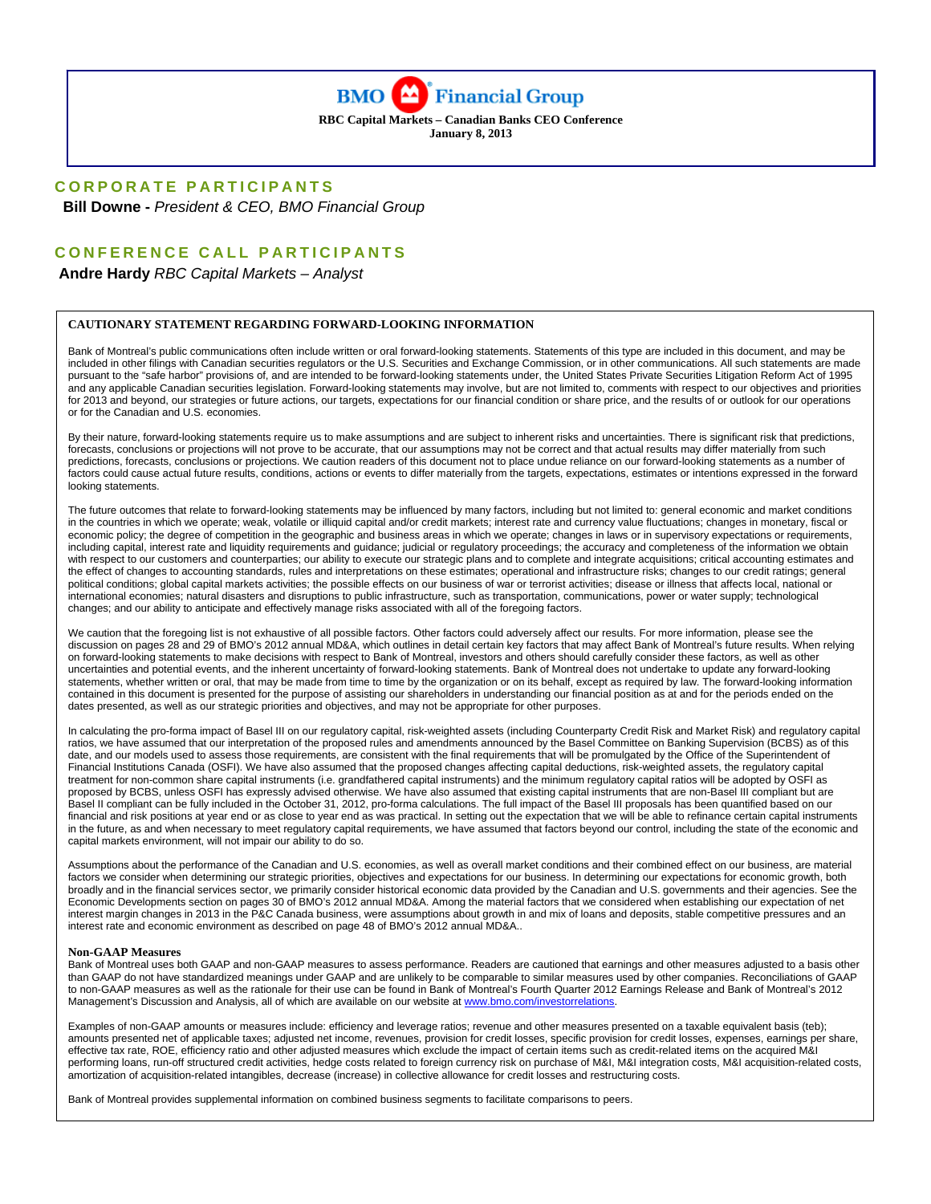

**RBC Capital Markets – Canadian Banks CEO Conference January 8, 2013** 

## **CORPORATE PARTICIPANTS**

 **Bill Downe -** *President & CEO, BMO Financial Group* 

### **CONFERENCE CALL PARTICIPANTS**

 **Andre Hardy** *RBC Capital Markets – Analyst* 

#### **CAUTIONARY STATEMENT REGARDING FORWARD-LOOKING INFORMATION**

Bank of Montreal's public communications often include written or oral forward-looking statements. Statements of this type are included in this document, and may be included in other filings with Canadian securities regulators or the U.S. Securities and Exchange Commission, or in other communications. All such statements are made pursuant to the "safe harbor" provisions of, and are intended to be forward-looking statements under, the United States Private Securities Litigation Reform Act of 1995 and any applicable Canadian securities legislation. Forward-looking statements may involve, but are not limited to, comments with respect to our objectives and priorities for 2013 and beyond, our strategies or future actions, our targets, expectations for our financial condition or share price, and the results of or outlook for our operations or for the Canadian and U.S. economies.

By their nature, forward-looking statements require us to make assumptions and are subject to inherent risks and uncertainties. There is significant risk that predictions, forecasts, conclusions or projections will not prove to be accurate, that our assumptions may not be correct and that actual results may differ materially from such predictions, forecasts, conclusions or projections. We caution readers of this document not to place undue reliance on our forward-looking statements as a number of factors could cause actual future results, conditions, actions or events to differ materially from the targets, expectations, estimates or intentions expressed in the forward looking statements.

The future outcomes that relate to forward-looking statements may be influenced by many factors, including but not limited to: general economic and market conditions in the countries in which we operate; weak, volatile or illiquid capital and/or credit markets; interest rate and currency value fluctuations; changes in monetary, fiscal or economic policy; the degree of competition in the geographic and business areas in which we operate; changes in laws or in supervisory expectations or requirements, including capital, interest rate and liquidity requirements and guidance; judicial or regulatory proceedings; the accuracy and completeness of the information we obtain with respect to our customers and counterparties; our ability to execute our strategic plans and to complete and integrate acquisitions; critical accounting estimates and the effect of changes to accounting standards, rules and interpretations on these estimates; operational and infrastructure risks; changes to our credit ratings; general political conditions; global capital markets activities; the possible effects on our business of war or terrorist activities; disease or illness that affects local, national or international economies; natural disasters and disruptions to public infrastructure, such as transportation, communications, power or water supply; technological changes; and our ability to anticipate and effectively manage risks associated with all of the foregoing factors.

We caution that the foregoing list is not exhaustive of all possible factors. Other factors could adversely affect our results. For more information, please see the discussion on pages 28 and 29 of BMO's 2012 annual MD&A, which outlines in detail certain key factors that may affect Bank of Montreal's future results. When relying on forward-looking statements to make decisions with respect to Bank of Montreal, investors and others should carefully consider these factors, as well as other uncertainties and potential events, and the inherent uncertainty of forward-looking statements. Bank of Montreal does not undertake to update any forward-looking statements, whether written or oral, that may be made from time to time by the organization or on its behalf, except as required by law. The forward-looking information contained in this document is presented for the purpose of assisting our shareholders in understanding our financial position as at and for the periods ended on the dates presented, as well as our strategic priorities and objectives, and may not be appropriate for other purposes.

In calculating the pro-forma impact of Basel III on our regulatory capital, risk-weighted assets (including Counterparty Credit Risk and Market Risk) and regulatory capital ratios, we have assumed that our interpretation of the proposed rules and amendments announced by the Basel Committee on Banking Supervision (BCBS) as of this date, and our models used to assess those requirements, are consistent with the final requirements that will be promulgated by the Office of the Superintendent of Financial Institutions Canada (OSFI). We have also assumed that the proposed changes affecting capital deductions, risk-weighted assets, the regulatory capital treatment for non-common share capital instruments (i.e. grandfathered capital instruments) and the minimum regulatory capital ratios will be adopted by OSFI as proposed by BCBS, unless OSFI has expressly advised otherwise. We have also assumed that existing capital instruments that are non-Basel III compliant but are Basel II compliant can be fully included in the October 31, 2012, pro-forma calculations. The full impact of the Basel III proposals has been quantified based on our financial and risk positions at year end or as close to year end as was practical. In setting out the expectation that we will be able to refinance certain capital instruments in the future, as and when necessary to meet regulatory capital requirements, we have assumed that factors beyond our control, including the state of the economic and capital markets environment, will not impair our ability to do so.

Assumptions about the performance of the Canadian and U.S. economies, as well as overall market conditions and their combined effect on our business, are material factors we consider when determining our strategic priorities, objectives and expectations for our business. In determining our expectations for economic growth, both broadly and in the financial services sector, we primarily consider historical economic data provided by the Canadian and U.S. governments and their agencies. See the Economic Developments section on pages 30 of BMO's 2012 annual MD&A. Among the material factors that we considered when establishing our expectation of net interest margin changes in 2013 in the P&C Canada business, were assumptions about growth in and mix of loans and deposits, stable competitive pressures and an interest rate and economic environment as described on page 48 of BMO's 2012 annual MD&A..

#### **Non-GAAP Measures**

Bank of Montreal uses both GAAP and non-GAAP measures to assess performance. Readers are cautioned that earnings and other measures adjusted to a basis other than GAAP do not have standardized meanings under GAAP and are unlikely to be comparable to similar measures used by other companies. Reconciliations of GAAP to non-GAAP measures as well as the rationale for their use can be found in Bank of Montreal's Fourth Quarter 2012 Earnings Release and Bank of Montreal's 2012 Management's Discussion and Analysis, all of which are available on our website at www.bmo.com/inv

Examples of non-GAAP amounts or measures include: efficiency and leverage ratios; revenue and other measures presented on a taxable equivalent basis (teb); amounts presented net of applicable taxes; adjusted net income, revenues, provision for credit losses, specific provision for credit losses, expenses, earnings per share, effective tax rate, ROE, efficiency ratio and other adjusted measures which exclude the impact of certain items such as credit-related items on the acquired M&I performing loans, run-off structured credit activities, hedge costs related to foreign currency risk on purchase of M&I, M&I integration costs, M&I acquisition-related costs, amortization of acquisition-related intangibles, decrease (increase) in collective allowance for credit losses and restructuring costs.

Bank of Montreal provides supplemental information on combined business segments to facilitate comparisons to peers.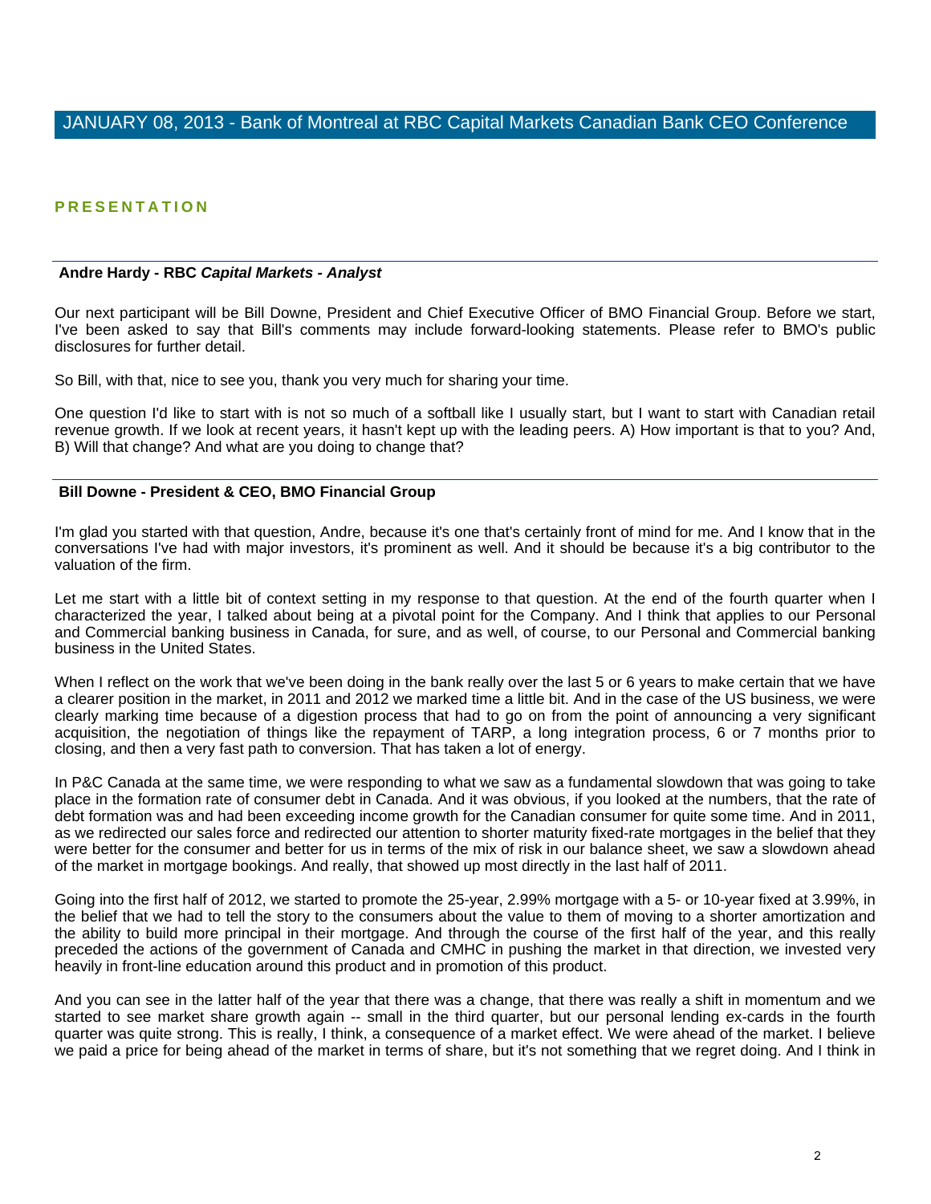### **PRESENTATION**

#### **Andre Hardy - RBC** *Capital Markets - Analyst*

Our next participant will be Bill Downe, President and Chief Executive Officer of BMO Financial Group. Before we start, I've been asked to say that Bill's comments may include forward-looking statements. Please refer to BMO's public disclosures for further detail.

So Bill, with that, nice to see you, thank you very much for sharing your time.

One question I'd like to start with is not so much of a softball like I usually start, but I want to start with Canadian retail revenue growth. If we look at recent years, it hasn't kept up with the leading peers. A) How important is that to you? And, B) Will that change? And what are you doing to change that?

#### **Bill Downe - President & CEO, BMO Financial Group**

I'm glad you started with that question, Andre, because it's one that's certainly front of mind for me. And I know that in the conversations I've had with major investors, it's prominent as well. And it should be because it's a big contributor to the valuation of the firm.

Let me start with a little bit of context setting in my response to that question. At the end of the fourth quarter when I characterized the year, I talked about being at a pivotal point for the Company. And I think that applies to our Personal and Commercial banking business in Canada, for sure, and as well, of course, to our Personal and Commercial banking business in the United States.

When I reflect on the work that we've been doing in the bank really over the last 5 or 6 years to make certain that we have a clearer position in the market, in 2011 and 2012 we marked time a little bit. And in the case of the US business, we were clearly marking time because of a digestion process that had to go on from the point of announcing a very significant acquisition, the negotiation of things like the repayment of TARP, a long integration process, 6 or 7 months prior to closing, and then a very fast path to conversion. That has taken a lot of energy.

In P&C Canada at the same time, we were responding to what we saw as a fundamental slowdown that was going to take place in the formation rate of consumer debt in Canada. And it was obvious, if you looked at the numbers, that the rate of debt formation was and had been exceeding income growth for the Canadian consumer for quite some time. And in 2011, as we redirected our sales force and redirected our attention to shorter maturity fixed-rate mortgages in the belief that they were better for the consumer and better for us in terms of the mix of risk in our balance sheet, we saw a slowdown ahead of the market in mortgage bookings. And really, that showed up most directly in the last half of 2011.

Going into the first half of 2012, we started to promote the 25-year, 2.99% mortgage with a 5- or 10-year fixed at 3.99%, in the belief that we had to tell the story to the consumers about the value to them of moving to a shorter amortization and the ability to build more principal in their mortgage. And through the course of the first half of the year, and this really preceded the actions of the government of Canada and CMHC in pushing the market in that direction, we invested very heavily in front-line education around this product and in promotion of this product.

And you can see in the latter half of the year that there was a change, that there was really a shift in momentum and we started to see market share growth again -- small in the third quarter, but our personal lending ex-cards in the fourth quarter was quite strong. This is really, I think, a consequence of a market effect. We were ahead of the market. I believe we paid a price for being ahead of the market in terms of share, but it's not something that we regret doing. And I think in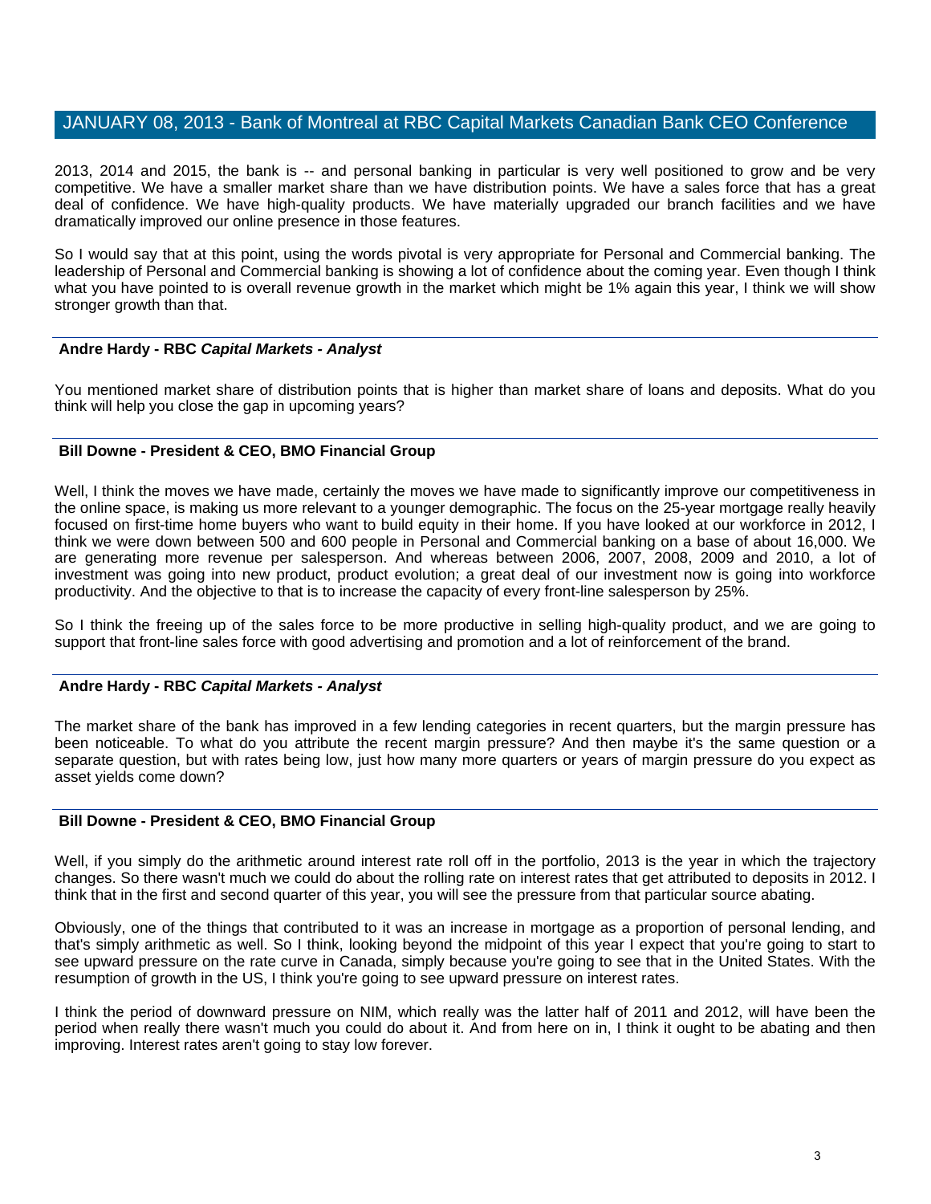2013, 2014 and 2015, the bank is -- and personal banking in particular is very well positioned to grow and be very competitive. We have a smaller market share than we have distribution points. We have a sales force that has a great deal of confidence. We have high-quality products. We have materially upgraded our branch facilities and we have dramatically improved our online presence in those features.

So I would say that at this point, using the words pivotal is very appropriate for Personal and Commercial banking. The leadership of Personal and Commercial banking is showing a lot of confidence about the coming year. Even though I think what you have pointed to is overall revenue growth in the market which might be 1% again this year, I think we will show stronger growth than that.

### **Andre Hardy - RBC** *Capital Markets - Analyst*

You mentioned market share of distribution points that is higher than market share of loans and deposits. What do you think will help you close the gap in upcoming years?

### **Bill Downe - President & CEO, BMO Financial Group**

Well, I think the moves we have made, certainly the moves we have made to significantly improve our competitiveness in the online space, is making us more relevant to a younger demographic. The focus on the 25-year mortgage really heavily focused on first-time home buyers who want to build equity in their home. If you have looked at our workforce in 2012, I think we were down between 500 and 600 people in Personal and Commercial banking on a base of about 16,000. We are generating more revenue per salesperson. And whereas between 2006, 2007, 2008, 2009 and 2010, a lot of investment was going into new product, product evolution; a great deal of our investment now is going into workforce productivity. And the objective to that is to increase the capacity of every front-line salesperson by 25%.

So I think the freeing up of the sales force to be more productive in selling high-quality product, and we are going to support that front-line sales force with good advertising and promotion and a lot of reinforcement of the brand.

### **Andre Hardy - RBC** *Capital Markets - Analyst*

The market share of the bank has improved in a few lending categories in recent quarters, but the margin pressure has been noticeable. To what do you attribute the recent margin pressure? And then maybe it's the same question or a separate question, but with rates being low, just how many more quarters or years of margin pressure do you expect as asset yields come down?

### **Bill Downe - President & CEO, BMO Financial Group**

Well, if you simply do the arithmetic around interest rate roll off in the portfolio, 2013 is the year in which the trajectory changes. So there wasn't much we could do about the rolling rate on interest rates that get attributed to deposits in 2012. I think that in the first and second quarter of this year, you will see the pressure from that particular source abating.

Obviously, one of the things that contributed to it was an increase in mortgage as a proportion of personal lending, and that's simply arithmetic as well. So I think, looking beyond the midpoint of this year I expect that you're going to start to see upward pressure on the rate curve in Canada, simply because you're going to see that in the United States. With the resumption of growth in the US, I think you're going to see upward pressure on interest rates.

I think the period of downward pressure on NIM, which really was the latter half of 2011 and 2012, will have been the period when really there wasn't much you could do about it. And from here on in, I think it ought to be abating and then improving. Interest rates aren't going to stay low forever.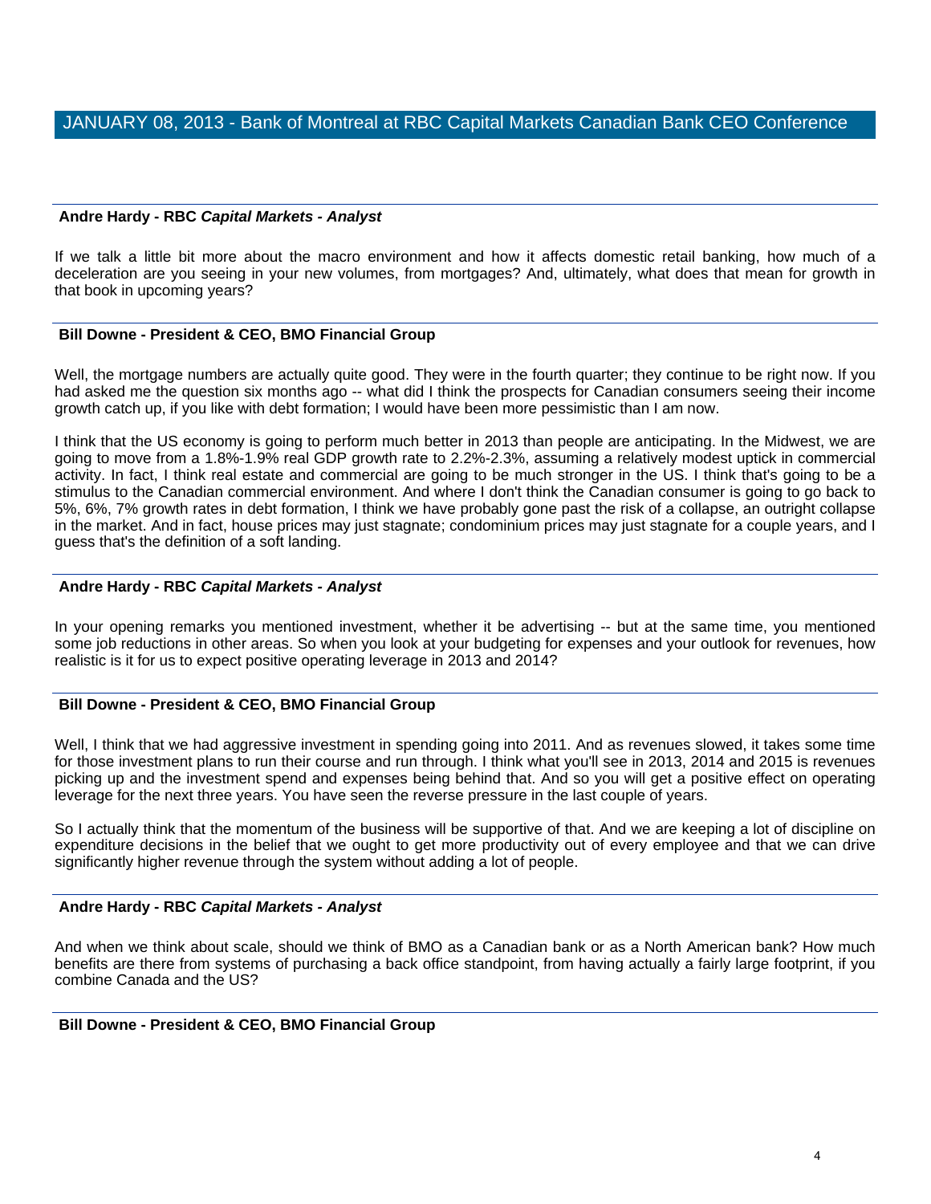### **Andre Hardy - RBC** *Capital Markets - Analyst*

If we talk a little bit more about the macro environment and how it affects domestic retail banking, how much of a deceleration are you seeing in your new volumes, from mortgages? And, ultimately, what does that mean for growth in that book in upcoming years?

### **Bill Downe - President & CEO, BMO Financial Group**

Well, the mortgage numbers are actually quite good. They were in the fourth quarter; they continue to be right now. If you had asked me the question six months ago -- what did I think the prospects for Canadian consumers seeing their income growth catch up, if you like with debt formation; I would have been more pessimistic than I am now.

I think that the US economy is going to perform much better in 2013 than people are anticipating. In the Midwest, we are going to move from a 1.8%-1.9% real GDP growth rate to 2.2%-2.3%, assuming a relatively modest uptick in commercial activity. In fact, I think real estate and commercial are going to be much stronger in the US. I think that's going to be a stimulus to the Canadian commercial environment. And where I don't think the Canadian consumer is going to go back to 5%, 6%, 7% growth rates in debt formation, I think we have probably gone past the risk of a collapse, an outright collapse in the market. And in fact, house prices may just stagnate; condominium prices may just stagnate for a couple years, and I guess that's the definition of a soft landing.

### **Andre Hardy - RBC** *Capital Markets - Analyst*

In your opening remarks you mentioned investment, whether it be advertising -- but at the same time, you mentioned some job reductions in other areas. So when you look at your budgeting for expenses and your outlook for revenues, how realistic is it for us to expect positive operating leverage in 2013 and 2014?

### **Bill Downe - President & CEO, BMO Financial Group**

Well, I think that we had aggressive investment in spending going into 2011. And as revenues slowed, it takes some time for those investment plans to run their course and run through. I think what you'll see in 2013, 2014 and 2015 is revenues picking up and the investment spend and expenses being behind that. And so you will get a positive effect on operating leverage for the next three years. You have seen the reverse pressure in the last couple of years.

So I actually think that the momentum of the business will be supportive of that. And we are keeping a lot of discipline on expenditure decisions in the belief that we ought to get more productivity out of every employee and that we can drive significantly higher revenue through the system without adding a lot of people.

### **Andre Hardy - RBC** *Capital Markets - Analyst*

And when we think about scale, should we think of BMO as a Canadian bank or as a North American bank? How much benefits are there from systems of purchasing a back office standpoint, from having actually a fairly large footprint, if you combine Canada and the US?

### **Bill Downe - President & CEO, BMO Financial Group**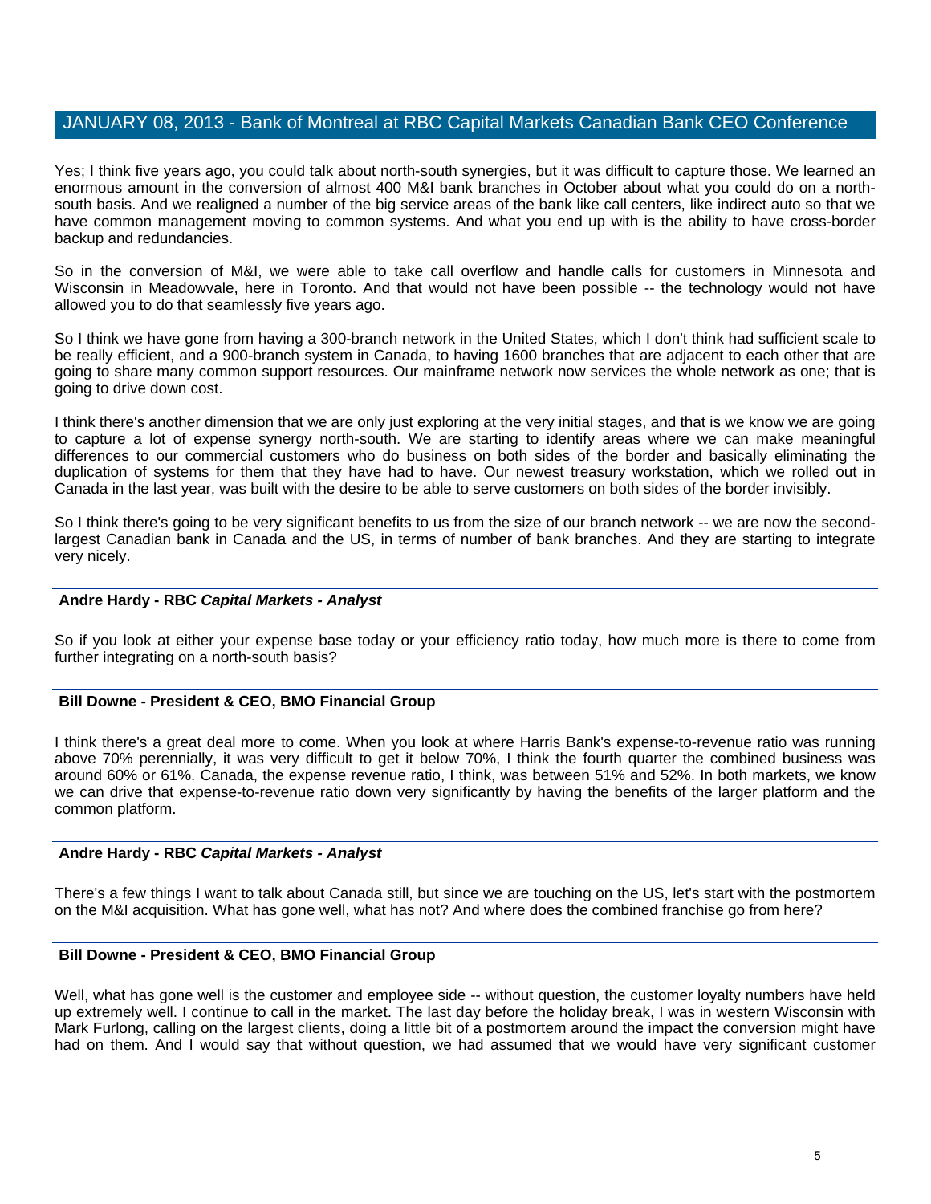Yes; I think five years ago, you could talk about north-south synergies, but it was difficult to capture those. We learned an enormous amount in the conversion of almost 400 M&I bank branches in October about what you could do on a northsouth basis. And we realigned a number of the big service areas of the bank like call centers, like indirect auto so that we have common management moving to common systems. And what you end up with is the ability to have cross-border backup and redundancies.

So in the conversion of M&I, we were able to take call overflow and handle calls for customers in Minnesota and Wisconsin in Meadowvale, here in Toronto. And that would not have been possible -- the technology would not have allowed you to do that seamlessly five years ago.

So I think we have gone from having a 300-branch network in the United States, which I don't think had sufficient scale to be really efficient, and a 900-branch system in Canada, to having 1600 branches that are adjacent to each other that are going to share many common support resources. Our mainframe network now services the whole network as one; that is going to drive down cost.

I think there's another dimension that we are only just exploring at the very initial stages, and that is we know we are going to capture a lot of expense synergy north-south. We are starting to identify areas where we can make meaningful differences to our commercial customers who do business on both sides of the border and basically eliminating the duplication of systems for them that they have had to have. Our newest treasury workstation, which we rolled out in Canada in the last year, was built with the desire to be able to serve customers on both sides of the border invisibly.

So I think there's going to be very significant benefits to us from the size of our branch network -- we are now the secondlargest Canadian bank in Canada and the US, in terms of number of bank branches. And they are starting to integrate very nicely.

### **Andre Hardy - RBC** *Capital Markets - Analyst*

So if you look at either your expense base today or your efficiency ratio today, how much more is there to come from further integrating on a north-south basis?

### **Bill Downe - President & CEO, BMO Financial Group**

I think there's a great deal more to come. When you look at where Harris Bank's expense-to-revenue ratio was running above 70% perennially, it was very difficult to get it below 70%, I think the fourth quarter the combined business was around 60% or 61%. Canada, the expense revenue ratio, I think, was between 51% and 52%. In both markets, we know we can drive that expense-to-revenue ratio down very significantly by having the benefits of the larger platform and the common platform.

### **Andre Hardy - RBC** *Capital Markets - Analyst*

There's a few things I want to talk about Canada still, but since we are touching on the US, let's start with the postmortem on the M&I acquisition. What has gone well, what has not? And where does the combined franchise go from here?

### **Bill Downe - President & CEO, BMO Financial Group**

Well, what has gone well is the customer and employee side -- without question, the customer loyalty numbers have held up extremely well. I continue to call in the market. The last day before the holiday break, I was in western Wisconsin with Mark Furlong, calling on the largest clients, doing a little bit of a postmortem around the impact the conversion might have had on them. And I would say that without question, we had assumed that we would have very significant customer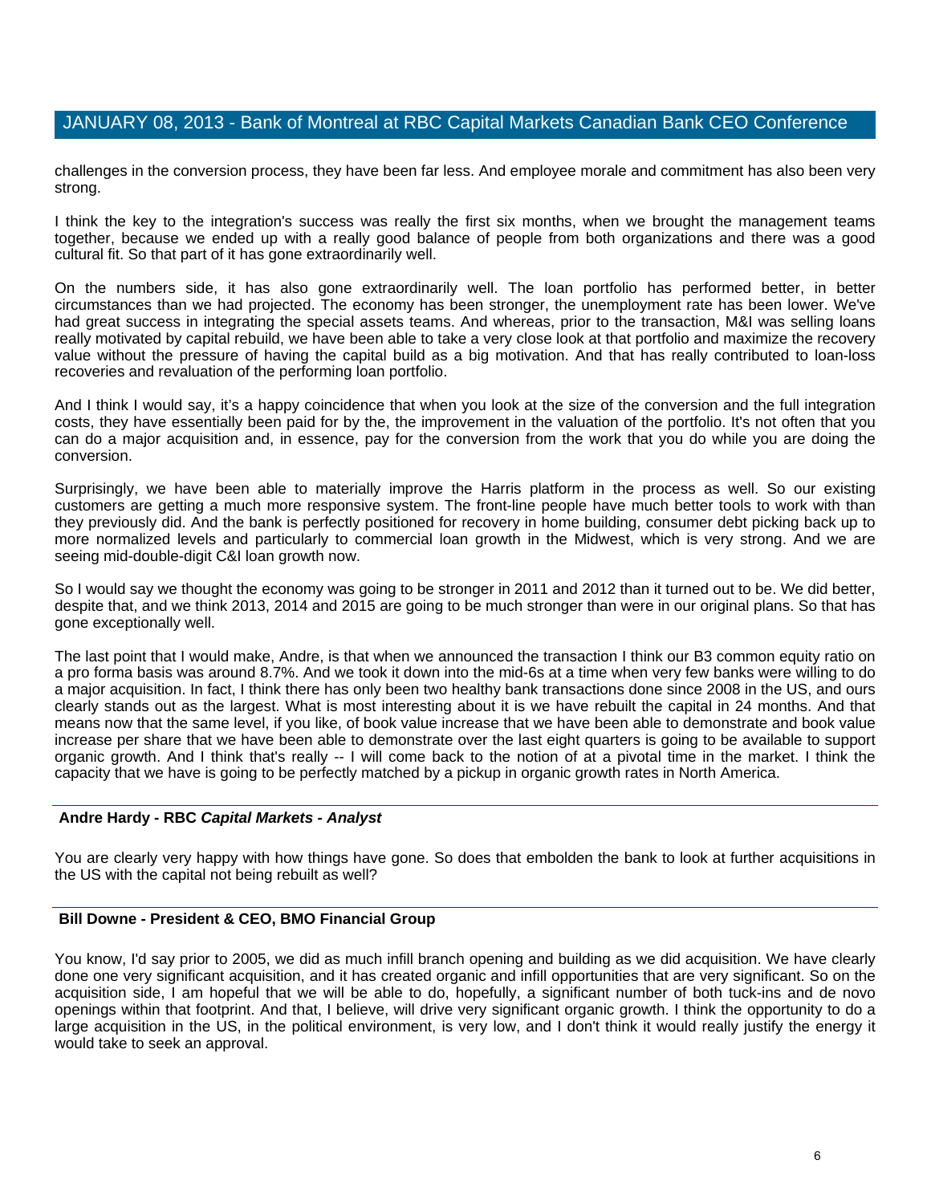challenges in the conversion process, they have been far less. And employee morale and commitment has also been very strong.

I think the key to the integration's success was really the first six months, when we brought the management teams together, because we ended up with a really good balance of people from both organizations and there was a good cultural fit. So that part of it has gone extraordinarily well.

On the numbers side, it has also gone extraordinarily well. The loan portfolio has performed better, in better circumstances than we had projected. The economy has been stronger, the unemployment rate has been lower. We've had great success in integrating the special assets teams. And whereas, prior to the transaction, M&I was selling loans really motivated by capital rebuild, we have been able to take a very close look at that portfolio and maximize the recovery value without the pressure of having the capital build as a big motivation. And that has really contributed to loan-loss recoveries and revaluation of the performing loan portfolio.

And I think I would say, it's a happy coincidence that when you look at the size of the conversion and the full integration costs, they have essentially been paid for by the, the improvement in the valuation of the portfolio. It's not often that you can do a major acquisition and, in essence, pay for the conversion from the work that you do while you are doing the conversion.

Surprisingly, we have been able to materially improve the Harris platform in the process as well. So our existing customers are getting a much more responsive system. The front-line people have much better tools to work with than they previously did. And the bank is perfectly positioned for recovery in home building, consumer debt picking back up to more normalized levels and particularly to commercial loan growth in the Midwest, which is very strong. And we are seeing mid-double-digit C&I loan growth now.

So I would say we thought the economy was going to be stronger in 2011 and 2012 than it turned out to be. We did better, despite that, and we think 2013, 2014 and 2015 are going to be much stronger than were in our original plans. So that has gone exceptionally well.

The last point that I would make, Andre, is that when we announced the transaction I think our B3 common equity ratio on a pro forma basis was around 8.7%. And we took it down into the mid-6s at a time when very few banks were willing to do a major acquisition. In fact, I think there has only been two healthy bank transactions done since 2008 in the US, and ours clearly stands out as the largest. What is most interesting about it is we have rebuilt the capital in 24 months. And that means now that the same level, if you like, of book value increase that we have been able to demonstrate and book value increase per share that we have been able to demonstrate over the last eight quarters is going to be available to support organic growth. And I think that's really -- I will come back to the notion of at a pivotal time in the market. I think the capacity that we have is going to be perfectly matched by a pickup in organic growth rates in North America.

#### **Andre Hardy - RBC** *Capital Markets - Analyst*

You are clearly very happy with how things have gone. So does that embolden the bank to look at further acquisitions in the US with the capital not being rebuilt as well?

### **Bill Downe - President & CEO, BMO Financial Group**

You know, I'd say prior to 2005, we did as much infill branch opening and building as we did acquisition. We have clearly done one very significant acquisition, and it has created organic and infill opportunities that are very significant. So on the acquisition side, I am hopeful that we will be able to do, hopefully, a significant number of both tuck-ins and de novo openings within that footprint. And that, I believe, will drive very significant organic growth. I think the opportunity to do a large acquisition in the US, in the political environment, is very low, and I don't think it would really justify the energy it would take to seek an approval.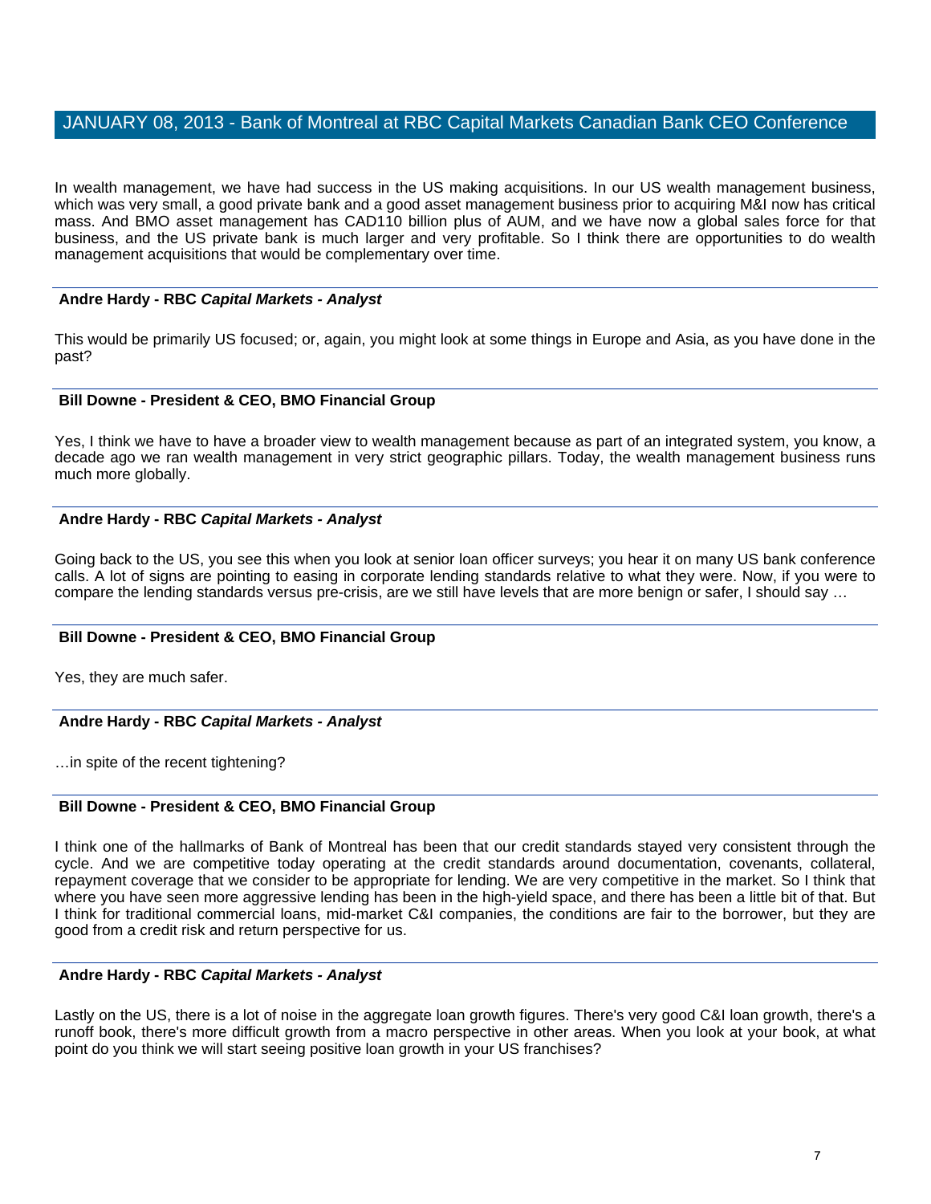In wealth management, we have had success in the US making acquisitions. In our US wealth management business, which was very small, a good private bank and a good asset management business prior to acquiring M&I now has critical mass. And BMO asset management has CAD110 billion plus of AUM, and we have now a global sales force for that business, and the US private bank is much larger and very profitable. So I think there are opportunities to do wealth management acquisitions that would be complementary over time.

### **Andre Hardy - RBC** *Capital Markets - Analyst*

This would be primarily US focused; or, again, you might look at some things in Europe and Asia, as you have done in the past?

### **Bill Downe - President & CEO, BMO Financial Group**

Yes, I think we have to have a broader view to wealth management because as part of an integrated system, you know, a decade ago we ran wealth management in very strict geographic pillars. Today, the wealth management business runs much more globally.

### **Andre Hardy - RBC** *Capital Markets - Analyst*

Going back to the US, you see this when you look at senior loan officer surveys; you hear it on many US bank conference calls. A lot of signs are pointing to easing in corporate lending standards relative to what they were. Now, if you were to compare the lending standards versus pre-crisis, are we still have levels that are more benign or safer, I should say …

### **Bill Downe - President & CEO, BMO Financial Group**

Yes, they are much safer.

### **Andre Hardy - RBC** *Capital Markets - Analyst*

…in spite of the recent tightening?

#### **Bill Downe - President & CEO, BMO Financial Group**

I think one of the hallmarks of Bank of Montreal has been that our credit standards stayed very consistent through the cycle. And we are competitive today operating at the credit standards around documentation, covenants, collateral, repayment coverage that we consider to be appropriate for lending. We are very competitive in the market. So I think that where you have seen more aggressive lending has been in the high-yield space, and there has been a little bit of that. But I think for traditional commercial loans, mid-market C&I companies, the conditions are fair to the borrower, but they are good from a credit risk and return perspective for us.

### **Andre Hardy - RBC** *Capital Markets - Analyst*

Lastly on the US, there is a lot of noise in the aggregate loan growth figures. There's very good C&I loan growth, there's a runoff book, there's more difficult growth from a macro perspective in other areas. When you look at your book, at what point do you think we will start seeing positive loan growth in your US franchises?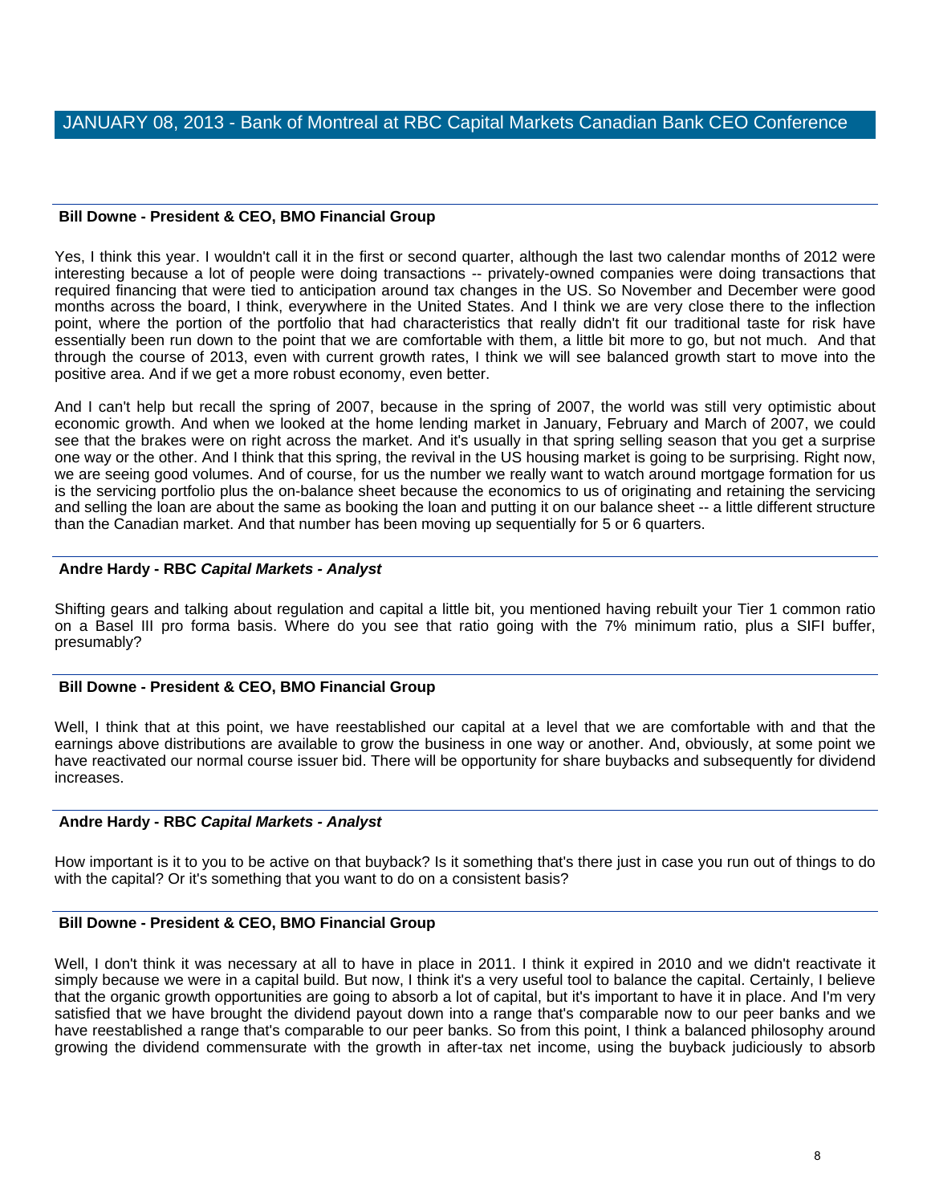### **Bill Downe - President & CEO, BMO Financial Group**

Yes, I think this year. I wouldn't call it in the first or second quarter, although the last two calendar months of 2012 were interesting because a lot of people were doing transactions -- privately-owned companies were doing transactions that required financing that were tied to anticipation around tax changes in the US. So November and December were good months across the board, I think, everywhere in the United States. And I think we are very close there to the inflection point, where the portion of the portfolio that had characteristics that really didn't fit our traditional taste for risk have essentially been run down to the point that we are comfortable with them, a little bit more to go, but not much. And that through the course of 2013, even with current growth rates, I think we will see balanced growth start to move into the positive area. And if we get a more robust economy, even better.

And I can't help but recall the spring of 2007, because in the spring of 2007, the world was still very optimistic about economic growth. And when we looked at the home lending market in January, February and March of 2007, we could see that the brakes were on right across the market. And it's usually in that spring selling season that you get a surprise one way or the other. And I think that this spring, the revival in the US housing market is going to be surprising. Right now, we are seeing good volumes. And of course, for us the number we really want to watch around mortgage formation for us is the servicing portfolio plus the on-balance sheet because the economics to us of originating and retaining the servicing and selling the loan are about the same as booking the loan and putting it on our balance sheet -- a little different structure than the Canadian market. And that number has been moving up sequentially for 5 or 6 quarters.

## **Andre Hardy - RBC** *Capital Markets - Analyst*

Shifting gears and talking about regulation and capital a little bit, you mentioned having rebuilt your Tier 1 common ratio on a Basel III pro forma basis. Where do you see that ratio going with the 7% minimum ratio, plus a SIFI buffer, presumably?

## **Bill Downe - President & CEO, BMO Financial Group**

Well, I think that at this point, we have reestablished our capital at a level that we are comfortable with and that the earnings above distributions are available to grow the business in one way or another. And, obviously, at some point we have reactivated our normal course issuer bid. There will be opportunity for share buybacks and subsequently for dividend increases.

### **Andre Hardy - RBC** *Capital Markets - Analyst*

How important is it to you to be active on that buyback? Is it something that's there just in case you run out of things to do with the capital? Or it's something that you want to do on a consistent basis?

### **Bill Downe - President & CEO, BMO Financial Group**

Well, I don't think it was necessary at all to have in place in 2011. I think it expired in 2010 and we didn't reactivate it simply because we were in a capital build. But now, I think it's a very useful tool to balance the capital. Certainly, I believe that the organic growth opportunities are going to absorb a lot of capital, but it's important to have it in place. And I'm very satisfied that we have brought the dividend payout down into a range that's comparable now to our peer banks and we have reestablished a range that's comparable to our peer banks. So from this point, I think a balanced philosophy around growing the dividend commensurate with the growth in after-tax net income, using the buyback judiciously to absorb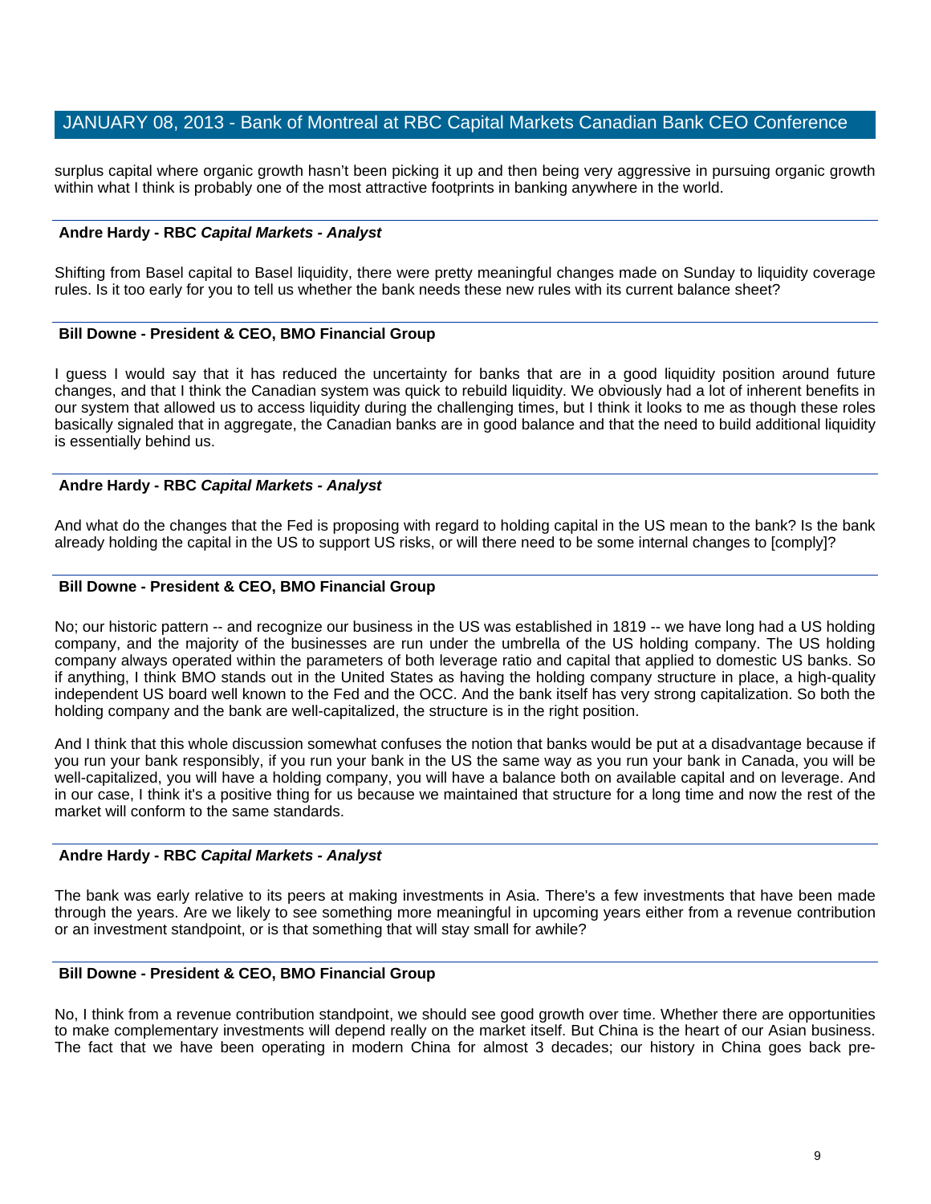surplus capital where organic growth hasn't been picking it up and then being very aggressive in pursuing organic growth within what I think is probably one of the most attractive footprints in banking anywhere in the world.

#### **Andre Hardy - RBC** *Capital Markets - Analyst*

Shifting from Basel capital to Basel liquidity, there were pretty meaningful changes made on Sunday to liquidity coverage rules. Is it too early for you to tell us whether the bank needs these new rules with its current balance sheet?

### **Bill Downe - President & CEO, BMO Financial Group**

I guess I would say that it has reduced the uncertainty for banks that are in a good liquidity position around future changes, and that I think the Canadian system was quick to rebuild liquidity. We obviously had a lot of inherent benefits in our system that allowed us to access liquidity during the challenging times, but I think it looks to me as though these roles basically signaled that in aggregate, the Canadian banks are in good balance and that the need to build additional liquidity is essentially behind us.

### **Andre Hardy - RBC** *Capital Markets - Analyst*

And what do the changes that the Fed is proposing with regard to holding capital in the US mean to the bank? Is the bank already holding the capital in the US to support US risks, or will there need to be some internal changes to [comply]?

### **Bill Downe - President & CEO, BMO Financial Group**

No; our historic pattern -- and recognize our business in the US was established in 1819 -- we have long had a US holding company, and the majority of the businesses are run under the umbrella of the US holding company. The US holding company always operated within the parameters of both leverage ratio and capital that applied to domestic US banks. So if anything, I think BMO stands out in the United States as having the holding company structure in place, a high-quality independent US board well known to the Fed and the OCC. And the bank itself has very strong capitalization. So both the holding company and the bank are well-capitalized, the structure is in the right position.

And I think that this whole discussion somewhat confuses the notion that banks would be put at a disadvantage because if you run your bank responsibly, if you run your bank in the US the same way as you run your bank in Canada, you will be well-capitalized, you will have a holding company, you will have a balance both on available capital and on leverage. And in our case, I think it's a positive thing for us because we maintained that structure for a long time and now the rest of the market will conform to the same standards.

#### **Andre Hardy - RBC** *Capital Markets - Analyst*

The bank was early relative to its peers at making investments in Asia. There's a few investments that have been made through the years. Are we likely to see something more meaningful in upcoming years either from a revenue contribution or an investment standpoint, or is that something that will stay small for awhile?

#### **Bill Downe - President & CEO, BMO Financial Group**

No, I think from a revenue contribution standpoint, we should see good growth over time. Whether there are opportunities to make complementary investments will depend really on the market itself. But China is the heart of our Asian business. The fact that we have been operating in modern China for almost 3 decades; our history in China goes back pre-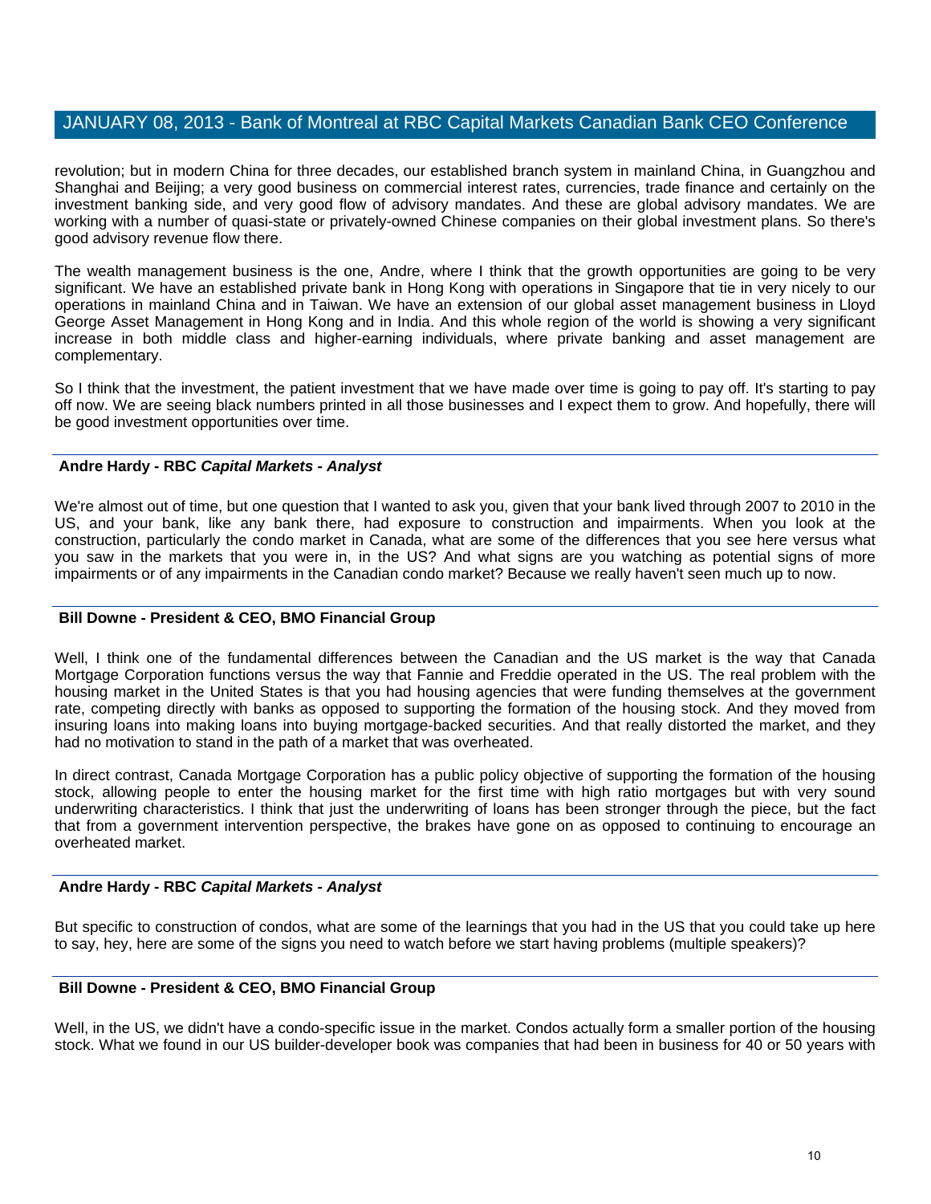revolution; but in modern China for three decades, our established branch system in mainland China, in Guangzhou and Shanghai and Beijing; a very good business on commercial interest rates, currencies, trade finance and certainly on the investment banking side, and very good flow of advisory mandates. And these are global advisory mandates. We are working with a number of quasi-state or privately-owned Chinese companies on their global investment plans. So there's good advisory revenue flow there.

The wealth management business is the one, Andre, where I think that the growth opportunities are going to be very significant. We have an established private bank in Hong Kong with operations in Singapore that tie in very nicely to our operations in mainland China and in Taiwan. We have an extension of our global asset management business in Lloyd George Asset Management in Hong Kong and in India. And this whole region of the world is showing a very significant increase in both middle class and higher-earning individuals, where private banking and asset management are complementary.

So I think that the investment, the patient investment that we have made over time is going to pay off. It's starting to pay off now. We are seeing black numbers printed in all those businesses and I expect them to grow. And hopefully, there will be good investment opportunities over time.

### **Andre Hardy - RBC** *Capital Markets - Analyst*

We're almost out of time, but one question that I wanted to ask you, given that your bank lived through 2007 to 2010 in the US, and your bank, like any bank there, had exposure to construction and impairments. When you look at the construction, particularly the condo market in Canada, what are some of the differences that you see here versus what you saw in the markets that you were in, in the US? And what signs are you watching as potential signs of more impairments or of any impairments in the Canadian condo market? Because we really haven't seen much up to now.

### **Bill Downe - President & CEO, BMO Financial Group**

Well, I think one of the fundamental differences between the Canadian and the US market is the way that Canada Mortgage Corporation functions versus the way that Fannie and Freddie operated in the US. The real problem with the housing market in the United States is that you had housing agencies that were funding themselves at the government rate, competing directly with banks as opposed to supporting the formation of the housing stock. And they moved from insuring loans into making loans into buying mortgage-backed securities. And that really distorted the market, and they had no motivation to stand in the path of a market that was overheated.

In direct contrast, Canada Mortgage Corporation has a public policy objective of supporting the formation of the housing stock, allowing people to enter the housing market for the first time with high ratio mortgages but with very sound underwriting characteristics. I think that just the underwriting of loans has been stronger through the piece, but the fact that from a government intervention perspective, the brakes have gone on as opposed to continuing to encourage an overheated market.

### **Andre Hardy - RBC** *Capital Markets - Analyst*

But specific to construction of condos, what are some of the learnings that you had in the US that you could take up here to say, hey, here are some of the signs you need to watch before we start having problems (multiple speakers)?

### **Bill Downe - President & CEO, BMO Financial Group**

Well, in the US, we didn't have a condo-specific issue in the market. Condos actually form a smaller portion of the housing stock. What we found in our US builder-developer book was companies that had been in business for 40 or 50 years with